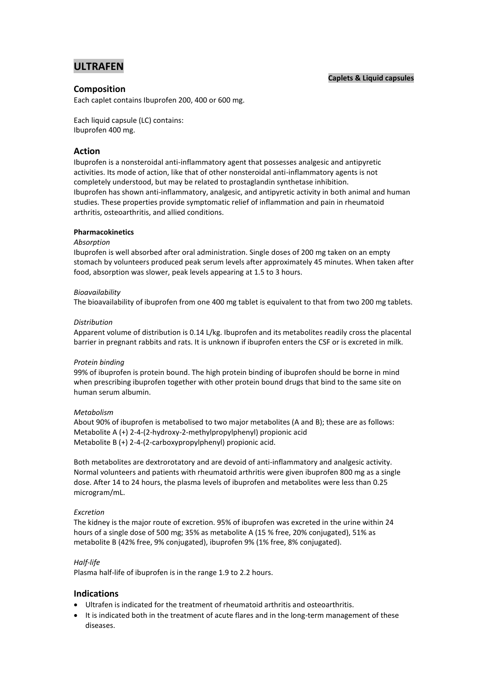# **ULTRAFEN**

## **Caplets & Liquid capsules**

# **Composition**

Each caplet contains Ibuprofen 200, 400 or 600 mg.

Each liquid capsule (LC) contains: Ibuprofen 400 mg.

# **Action**

Ibuprofen is a nonsteroidal anti-inflammatory agent that possesses analgesic and antipyretic activities. Its mode of action, like that of other nonsteroidal anti-inflammatory agents is not completely understood, but may be related to prostaglandin synthetase inhibition. Ibuprofen has shown anti-inflammatory, analgesic, and antipyretic activity in both animal and human studies. These properties provide symptomatic relief of inflammation and pain in rheumatoid arthritis, osteoarthritis, and allied conditions.

## **Pharmacokinetics**

## *Absorption*

Ibuprofen is well absorbed after oral administration. Single doses of 200 mg taken on an empty stomach by volunteers produced peak serum levels after approximately 45 minutes. When taken after food, absorption was slower, peak levels appearing at 1.5 to 3 hours.

## *Bioavailability*

The bioavailability of ibuprofen from one 400 mg tablet is equivalent to that from two 200 mg tablets.

#### *Distribution*

Apparent volume of distribution is 0.14 L/kg. Ibuprofen and its metabolites readily cross the placental barrier in pregnant rabbits and rats. It is unknown if ibuprofen enters the CSF or is excreted in milk.

## *Protein binding*

99% of ibuprofen is protein bound. The high protein binding of ibuprofen should be borne in mind when prescribing ibuprofen together with other protein bound drugs that bind to the same site on human serum albumin.

## *Metabolism*

About 90% of ibuprofen is metabolised to two major metabolites (A and B); these are as follows: Metabolite A (+) 2-4-(2-hydroxy-2-methylpropylphenyl) propionic acid Metabolite B (+) 2-4-(2-carboxypropylphenyl) propionic acid.

Both metabolites are dextrorotatory and are devoid of anti-inflammatory and analgesic activity. Normal volunteers and patients with rheumatoid arthritis were given ibuprofen 800 mg as a single dose. After 14 to 24 hours, the plasma levels of ibuprofen and metabolites were less than 0.25 microgram/mL.

#### *Excretion*

The kidney is the major route of excretion. 95% of ibuprofen was excreted in the urine within 24 hours of a single dose of 500 mg; 35% as metabolite A (15 % free, 20% conjugated), 51% as metabolite B (42% free, 9% conjugated), ibuprofen 9% (1% free, 8% conjugated).

## *Half-life*

Plasma half-life of ibuprofen is in the range 1.9 to 2.2 hours.

## **Indications**

- Ultrafen is indicated for the treatment of rheumatoid arthritis and osteoarthritis.
- It is indicated both in the treatment of acute flares and in the long-term management of these diseases.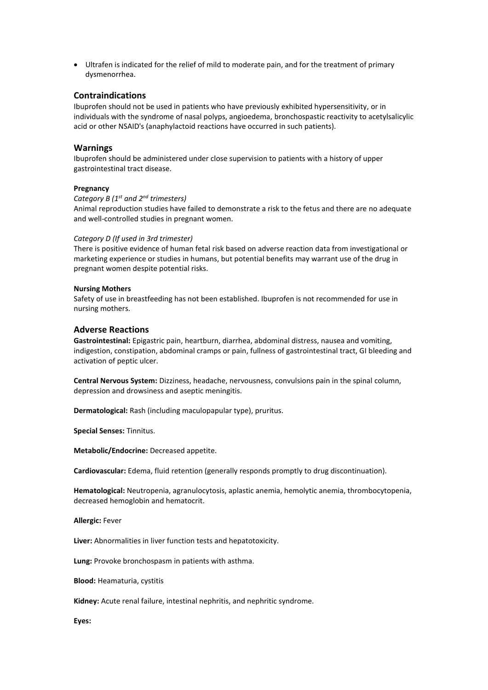Ultrafen is indicated for the relief of mild to moderate pain, and for the treatment of primary dysmenorrhea.

# **Contraindications**

Ibuprofen should not be used in patients who have previously exhibited hypersensitivity, or in individuals with the syndrome of nasal polyps, angioedema, bronchospastic reactivity to acetylsalicylic acid or other NSAID's (anaphylactoid reactions have occurred in such patients).

#### **Warnings**

Ibuprofen should be administered under close supervision to patients with a history of upper gastrointestinal tract disease.

#### **Pregnancy**

*Category B (1 st and 2nd trimesters)* Animal reproduction studies have failed to demonstrate a risk to the fetus and there are no adequate and well-controlled studies in pregnant women.

## *Category D (If used in 3rd trimester)*

There is positive evidence of human fetal risk based on adverse reaction data from investigational or marketing experience or studies in humans, but potential benefits may warrant use of the drug in pregnant women despite potential risks.

#### **Nursing Mothers**

Safety of use in breastfeeding has not been established. Ibuprofen is not recommended for use in nursing mothers.

#### **Adverse Reactions**

**Gastrointestinal:** Epigastric pain, heartburn, diarrhea, abdominal distress, nausea and vomiting, indigestion, constipation, abdominal cramps or pain, fullness of gastrointestinal tract, GI bleeding and activation of peptic ulcer.

**Central Nervous System:** Dizziness, headache, nervousness, convulsions pain in the spinal column, depression and drowsiness and aseptic meningitis.

**Dermatological:** Rash (including maculopapular type), pruritus.

**Special Senses:** Tinnitus.

**Metabolic/Endocrine:** Decreased appetite.

**Cardiovascular:** Edema, fluid retention (generally responds promptly to drug discontinuation).

**Hematological:** Neutropenia, agranulocytosis, aplastic anemia, hemolytic anemia, thrombocytopenia, decreased hemoglobin and hematocrit.

**Allergic:** Fever

**Liver:** Abnormalities in liver function tests and hepatotoxicity.

**Lung:** Provoke bronchospasm in patients with asthma.

**Blood:** Heamaturia, cystitis

**Kidney:** Acute renal failure, intestinal nephritis, and nephritic syndrome.

**Eyes:**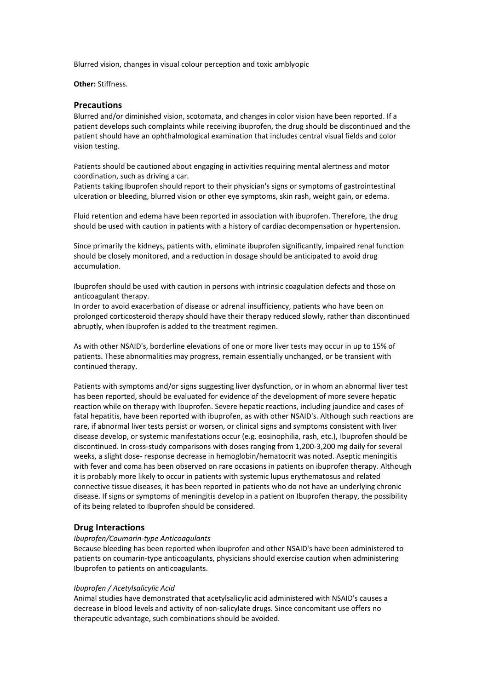Blurred vision, changes in visual colour perception and toxic amblyopic

#### **Other:** Stiffness.

## **Precautions**

Blurred and/or diminished vision, scotomata, and changes in color vision have been reported. If a patient develops such complaints while receiving ibuprofen, the drug should be discontinued and the patient should have an ophthalmological examination that includes central visual fields and color vision testing.

Patients should be cautioned about engaging in activities requiring mental alertness and motor coordination, such as driving a car.

Patients taking Ibuprofen should report to their physician's signs or symptoms of gastrointestinal ulceration or bleeding, blurred vision or other eye symptoms, skin rash, weight gain, or edema.

Fluid retention and edema have been reported in association with ibuprofen. Therefore, the drug should be used with caution in patients with a history of cardiac decompensation or hypertension.

Since primarily the kidneys, patients with, eliminate ibuprofen significantly, impaired renal function should be closely monitored, and a reduction in dosage should be anticipated to avoid drug accumulation.

Ibuprofen should be used with caution in persons with intrinsic coagulation defects and those on anticoagulant therapy.

In order to avoid exacerbation of disease or adrenal insufficiency, patients who have been on prolonged corticosteroid therapy should have their therapy reduced slowly, rather than discontinued abruptly, when Ibuprofen is added to the treatment regimen.

As with other NSAID's, borderline elevations of one or more liver tests may occur in up to 15% of patients. These abnormalities may progress, remain essentially unchanged, or be transient with continued therapy.

Patients with symptoms and/or signs suggesting liver dysfunction, or in whom an abnormal liver test has been reported, should be evaluated for evidence of the development of more severe hepatic reaction while on therapy with Ibuprofen. Severe hepatic reactions, including jaundice and cases of fatal hepatitis, have been reported with ibuprofen, as with other NSAID's. Although such reactions are rare, if abnormal liver tests persist or worsen, or clinical signs and symptoms consistent with liver disease develop, or systemic manifestations occur (e.g. eosinophilia, rash, etc.), Ibuprofen should be discontinued. In cross-study comparisons with doses ranging from 1,200-3,200 mg daily for several weeks, a slight dose- response decrease in hemoglobin/hematocrit was noted. Aseptic meningitis with fever and coma has been observed on rare occasions in patients on ibuprofen therapy. Although it is probably more likely to occur in patients with systemic lupus erythematosus and related connective tissue diseases, it has been reported in patients who do not have an underlying chronic disease. If signs or symptoms of meningitis develop in a patient on Ibuprofen therapy, the possibility of its being related to Ibuprofen should be considered.

## **Drug Interactions**

#### *Ibuprofen/Coumarin-type Anticoagulants*

Because bleeding has been reported when ibuprofen and other NSAID's have been administered to patients on coumarin-type anticoagulants, physicians should exercise caution when administering Ibuprofen to patients on anticoagulants.

#### *Ibuprofen / Acetylsalicylic Acid*

Animal studies have demonstrated that acetylsalicylic acid administered with NSAID's causes a decrease in blood levels and activity of non-salicylate drugs. Since concomitant use offers no therapeutic advantage, such combinations should be avoided.